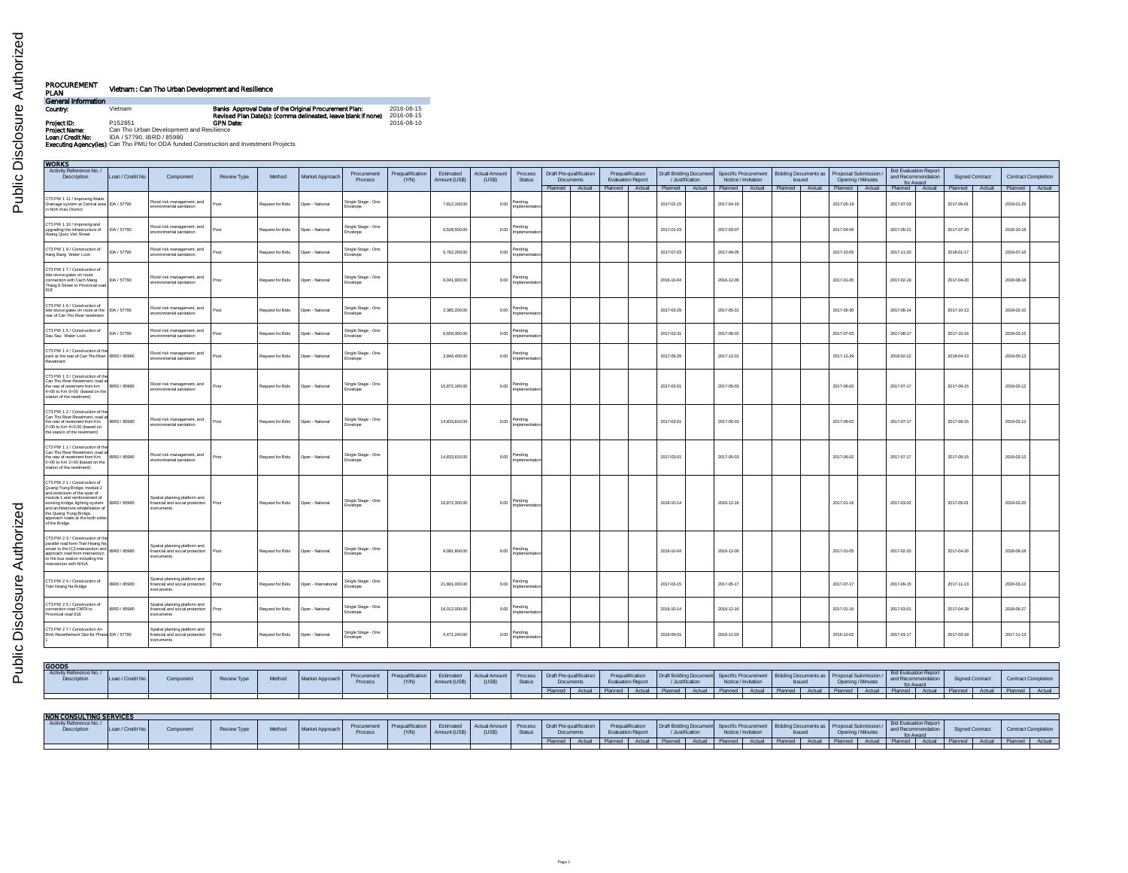| PROCUREMENT<br>PLAN | Vietnam : Can Tho Urban Development and Resilience                                             |                                                                                                                        |                          |
|---------------------|------------------------------------------------------------------------------------------------|------------------------------------------------------------------------------------------------------------------------|--------------------------|
| General Information |                                                                                                |                                                                                                                        |                          |
| Country:            | Vietnam                                                                                        | Banks Approval Date of the Original Procurement Plan:<br>Revised Plan Date(s): (comma delineated, leave blank if none) | 2016-08-15<br>2016-08-15 |
| Project ID:         | P152851                                                                                        | <b>GPN Date:</b>                                                                                                       | 2016-08-10               |
| Project Name:       | Can Tho Urban Development and Resilience                                                       |                                                                                                                        |                          |
| Loan / Credit No:   | IDA / 57790, IBRD / 85980                                                                      |                                                                                                                        |                          |
|                     | <b>Executing Agency (les):</b> Can Tho PMU for ODA funded Construction and Investment Projects |                                                                                                                        |                          |

Public Disclosure Authorized Public Disclosure Authorized

| WORKS                                                                                                                                                                                                                                                                                                  |                   |                                                                                 |             |                  |                      |                                 |                           |                            |                        |                               |                                      |                                              |                                           |            |                                                                                                          |               |                   |  |                                                                 |                                              |                        |                            |  |
|--------------------------------------------------------------------------------------------------------------------------------------------------------------------------------------------------------------------------------------------------------------------------------------------------------|-------------------|---------------------------------------------------------------------------------|-------------|------------------|----------------------|---------------------------------|---------------------------|----------------------------|------------------------|-------------------------------|--------------------------------------|----------------------------------------------|-------------------------------------------|------------|----------------------------------------------------------------------------------------------------------|---------------|-------------------|--|-----------------------------------------------------------------|----------------------------------------------|------------------------|----------------------------|--|
| Activity Reference No./<br>Description                                                                                                                                                                                                                                                                 | Loan / Credit No. | Component                                                                       | Review Type | Method           | Market Approach      | Procurement<br>Process          | Pregualification<br>(Y/N) | Estimated<br>Amount (US\$) | Actual Amount<br>(USS) | Process<br>Status             | Draft Pre-qualification<br>Documents | Pregualification<br><b>Evaluation Report</b> | Draft Bidding Document<br>/ Justification |            | Specific Procurement   Bidding Documents as   Proposal Submission<br>Notice / Invitation                 | <b>Issued</b> | Opening / Minutes |  | <b>Bid Evaluation Report</b><br>and Recommendation<br>for Award |                                              | <b>Signed Contract</b> | <b>Contract Completion</b> |  |
|                                                                                                                                                                                                                                                                                                        |                   |                                                                                 |             |                  |                      |                                 |                           |                            |                        |                               |                                      |                                              |                                           |            | Planned Actual Planned Actual Planned Actual Planned Actual Planned Actual Planned Actual Planned Actual |               |                   |  |                                                                 | Planned Actual Planned Actual Planned Actual |                        |                            |  |
| CT3 PW 1 11 / Improving Water<br>Drainage system at Central area   IDA / 57790<br>in Ninh Kieu District                                                                                                                                                                                                |                   | Flood risk management, and<br>environmental sanitation                          | Post        | Request for Bids | Open - National      | Single Stage - One<br>Envelope  |                           | 7,812,100.00               | 0.00                   | Pending<br>Implementa         |                                      |                                              | 2017-02-15                                | 2017-04-19 |                                                                                                          |               | 2017-05-19        |  | 2017-07-03                                                      |                                              | 2017-09-01             | 2019-01-29                 |  |
| CT3 PW 1 10 / Improving and<br>upgrading the infrastructure of<br>Hoang Quoc Viet Street                                                                                                                                                                                                               | IDA / 57790       | Flood risk management, and<br>environmental sanitation                          | Post        | Request for Bids | Open - National      | Single Stage - One<br>Envelope  |                           | 6,528,500.00               | 0.00                   | Pending<br>Implementatio      |                                      |                                              | 2017-01-03                                | 2017-03-07 |                                                                                                          |               | 2017-04-06        |  | 2017-05-21                                                      |                                              | 2017-07-20             | 2018-10-18                 |  |
| CT3 PW 1 9 / Construction of<br>Hang Bang Water Lock                                                                                                                                                                                                                                                   | IDA / 57790       | Flood risk management, and<br>environmental sanitation                          | Post        | Request for Bids | Open - National      | Single Stage - One<br>Envelope  |                           | 6,762,200.00               | 0.00                   | Pending<br>Implementatio      |                                      |                                              | 2017-07-03                                | 2017-09-05 |                                                                                                          |               | 2017-10-05        |  | 2017-11-20                                                      |                                              | 2018-01-17             | 2019-07-16                 |  |
| CT3 PW 1 7 / Construction of<br>tide sluice gates on route<br>connection with Cach Mang<br>Thang 8 Street to Provincial road                                                                                                                                                                           | IDA / 57790       | Flood risk management, and<br>environmental sanitation                          | Print       | Request for Bids | Open - National      | Single Stage - One<br>Envelope  |                           | 6,041,900.00               | 0.00                   | Pending<br>Implementation     |                                      |                                              | 2016-10-04                                | 2016-12-06 |                                                                                                          |               | 2017-01-05        |  | 2017-02-19                                                      |                                              | 2017-04-20             | 2018-08-18                 |  |
| CT3 PW 1 6 / Construction of<br>tide sluice gates on route at the   IDA / 57790<br>rear of Can Tho River revelment                                                                                                                                                                                     |                   | Flood risk management, and<br>environmental sanitation                          | Post        | Request for Bids | Open - National      | Single Stage - One<br>Envelope  |                           | 2,385,200.00               | 0.00                   | Pending<br>Implementatio      |                                      |                                              | 2017-03-29                                | 2017-05-31 |                                                                                                          |               | 2017-06-30        |  | 2017-08-14                                                      |                                              | 2017-10-13             | 2019-02-10                 |  |
| CT3 PW 1 5 / Construction of<br>Dau Sau Water Lock                                                                                                                                                                                                                                                     | IDA / 57790       | Flood risk management, and<br>environmental sanitation                          | Post        | Request for Bids | Open - National      | Single Stage - One<br>Envelope  |                           | 6,659,300.00               | 0.00                   | Pending<br>Implementatio      |                                      |                                              | 2017-03-31                                | 2017-06-02 |                                                                                                          |               | 2017-07-03        |  | 2017-08-17                                                      |                                              | 2017-10-16             | 2019-03-15                 |  |
| CT3 PW 1 4 / Construction of the<br>park at the rear of Can Tho River BRD / 85980<br>Revetment                                                                                                                                                                                                         |                   | Flood risk management, and<br>environmental sanitation                          | Post        | Request for Bids | Open - National      | Single Stage - One<br>Envelope  |                           | 2,846,400.00               | 0.00                   | Pending<br>Implementatio      |                                      |                                              | 2017-09-29                                | 2017-12-01 |                                                                                                          |               | 2017-12-29        |  | 2018-02-12                                                      |                                              | 2018-04-13             | 2019-05-13                 |  |
| CT3 PW 1 3 / Construction of the<br>Can Tho River Revetment, road at<br>the rear of revetment from km BRD / 85980<br>4+00 to Km 6+00 (based on the<br>station of the revetment)                                                                                                                        |                   | Flood risk management, and<br>environmental sanitation                          | Prior       | Request for Bids | Open - National      | Single Stage - One<br>Envelope  |                           | 15,872,180.00              | 0.00                   | Pending<br>Implementation     |                                      |                                              | 2017-03-01                                | 2017-05-03 |                                                                                                          |               | 2017-06-02        |  | 2017-07-17                                                      |                                              | 2017-09-15             | 2019-02-12                 |  |
| CT3 PW 1 2 / Construction of the<br>Can Tho River Revetment, road at<br>the rear of revetment from Km BRD / 85980<br>2+00 to Km 4+0,00 (based on<br>the station of the revetment)                                                                                                                      |                   | Flood risk management, and<br>environmental sanitation                          | Prior       | Request for Bids | Open - National      | Single Stage - One<br>Envelope  |                           | 14,833,810.00              |                        | 0.00 Pending<br>Implementatio |                                      |                                              | 2017-03-01                                | 2017-05-03 |                                                                                                          |               | 2017-06-02        |  | 2017-07-17                                                      |                                              | 2017-09-15             | 2019-02-12                 |  |
| CT3 PW 11 / Construction of th<br>Can Tho River Revetment, road a<br>the rear of revetment from Km   IBRD / 85980<br>0+00 to Km 2+00 (based on the<br>station of the revetment)                                                                                                                        |                   | Flood risk management, and<br>coitetinsa kanemonium                             | Prior       | Request for Bids | Open - National      | Single Stage - One<br>Frivelone |                           | 14,833,810.00              | 0.00                   | Pending<br>Implementatio      |                                      |                                              | 2017-03-01                                | 2017-05-03 |                                                                                                          |               | 2017-06-02        |  | 2017-07-17                                                      |                                              | 2017-09-15             | 2019-02-12                 |  |
| CT3 PW 2 1 / Construction of<br>Quang Trung Bridge, module 2<br>and extension of the span of<br>module 1 and reinforcement of<br>existing bridge, lighting system   IBRD / 85980<br>and architecture rehabilitation of<br>the Quang Trung Bridge,<br>approach roads at the both sides<br>of the Bridge |                   | Spatial planning platform and<br>financial and social protection<br>instruments | Prior       | Request for Bids | Open - National      | Single Stage - One<br>Envelope  |                           | 16,872,300.00              | 0.00                   | Pending<br>Implementatio      |                                      |                                              | 2016-10-14                                | 2016-12-16 |                                                                                                          |               | 2017-01-16        |  | 2017-03-02                                                      |                                              | 2017-05-01             | 2019-02-25                 |  |
| CT3 PW 2 3 / Construction of th<br>parallel road form Tran Hoang Na<br>street to the IC3 intersection and<br>annroach road from intersection<br>to the bus station including the<br>intersection with NH1A                                                                                             | IBRD / 85980      | Spatial planning platform and<br>financial and social protection<br>instruments | Post        | Request for Bids | Open - National      | Single Stage - One<br>Envelope  |                           | 8,081,800.00               | 0.00                   | Pending<br>Implementation     |                                      |                                              | 2016-10-04                                | 2016-12-06 |                                                                                                          |               | 2017-01-05        |  | 2017-02-20                                                      |                                              | 2017-04-20             | 2018-08-18                 |  |
| CT3 PW 2 4 / Construction of<br>Tran Hoang Na Bridge                                                                                                                                                                                                                                                   | IBRD / 85980      | Spatial planning platform and<br>financial and social protection<br>instruments | Prior       | Request for Bids | Open - International | Single Stage - One<br>Envelope  |                           | 21,891,000.00              | 0.00                   | Pending<br>Implementatio      |                                      |                                              | 2017-03-15                                | 2017-05-17 |                                                                                                          |               | 2017-07-17        |  | 2017-09-15                                                      |                                              | 2017-11-13             | 2020-03-12                 |  |
| CT3 PW 2.5 / Construction of<br>connection road CMT8 to<br>Provincial road 918                                                                                                                                                                                                                         | IBRD / 85980      | Spatial planning platform and<br>financial and social protection<br>instruments | Prior       | Request for Bids | Open - National      | Single Stage - One<br>Envelope  |                           | 16.012.000.00              | 0.00                   | Pending<br>Implementation     |                                      |                                              | 2016-10-14                                | 2016-12-16 |                                                                                                          |               | 2017-01-16        |  | 2017-03-01                                                      |                                              | 2017-04-28             | 2018-06-27                 |  |
| CT3 PW 2 7 / Construction An<br>Binh Resettlement Site for Phase IDA / 57790                                                                                                                                                                                                                           |                   | Spatial planning platform and<br>financial and social protection<br>istruments  | Prior       | Request for Bids | Open - National      | Single Stage - One<br>Envelope  |                           | 5,471,240.00               | 0.00                   | Pending<br>Implementatio      |                                      |                                              | 2016-09-01                                | 2016-11-03 |                                                                                                          |               | 2016-12-02        |  | 2017-01-17                                                      |                                              | 2017-03-18             | 2017-11-13                 |  |
|                                                                                                                                                                                                                                                                                                        |                   |                                                                                 |             |                  |                      |                                 |                           |                            |                        |                               |                                      |                                              |                                           |            |                                                                                                          |               |                   |  |                                                                 |                                              |                        |                            |  |

| <b>GOODS</b>                           |                   |          |             |        |                 |                        |                                 |               |                                                                  |        |                        |  |                                                                                                                                                                                                                                |  |  |  |                                    |                 |                            |  |
|----------------------------------------|-------------------|----------|-------------|--------|-----------------|------------------------|---------------------------------|---------------|------------------------------------------------------------------|--------|------------------------|--|--------------------------------------------------------------------------------------------------------------------------------------------------------------------------------------------------------------------------------|--|--|--|------------------------------------|-----------------|----------------------------|--|
| Activity Reference No./<br>Description | Loan / Credit No. | Componen | Review Type | Method | Market Approach | Procurement<br>Process | Prequalification<br><b>CY/N</b> | Amount (US\$) | Estimated Actual Amount Process Draft Pre-qualification<br>(USS) | Status | Document:              |  | Prequalification Draft Bidding Document Specific Procurement Bidding Documents as Proposal Submission / Unstituted Devel of Notice / Invitation Specific Association Specific Association Devel opening / Minutes and Devel of |  |  |  | Bid Evaluation Report<br>for Award | Signed Contract | <b>Contract Completion</b> |  |
|                                        |                   |          |             |        |                 |                        |                                 |               |                                                                  |        | Planned Actual Planned |  | Actual Planned Actual Planned Actual Planned Actual Planned Actual Planned Actual Planned Actual Planned Actual                                                                                                                |  |  |  |                                    |                 |                            |  |
|                                        |                   |          |             |        |                 |                        |                                 |               |                                                                  |        |                        |  |                                                                                                                                                                                                                                |  |  |  |                                    |                 |                            |  |

| NON CONSULTING SERVICES                |                  |                  |             |        |                 |                             |                                     |                           |                        |         |                                    |        |                                              |                 |           |                                                                    |        |                 |           |                                                                    |        |                                                         |            |                |        |                            |        |
|----------------------------------------|------------------|------------------|-------------|--------|-----------------|-----------------------------|-------------------------------------|---------------------------|------------------------|---------|------------------------------------|--------|----------------------------------------------|-----------------|-----------|--------------------------------------------------------------------|--------|-----------------|-----------|--------------------------------------------------------------------|--------|---------------------------------------------------------|------------|----------------|--------|----------------------------|--------|
| Activity Reference No./<br>Description | Loan / Credit No | <b>Component</b> | Review Type | Method | Market Approach | Procureme<br><b>Proces-</b> | <b>Indificati</b><br><b>Pregual</b> | Estimated<br>Amount (USs) | Actual Amount<br>(USS) | Process | Draft Pre-qualification<br>Documen |        | Pregualification<br><b>Evaluation Report</b> | / Justification |           | Draft Bidding Document Specific Procurement<br>Notice / Invitation |        | lssued          |           | ant Bidding Documents as I Proposal Submissic<br>Opening / Minutes |        | <b>Bid Evaluation Report</b><br>and Recomm<br>for Aware |            | Signed Contrac |        | <b>Contract Completion</b> |        |
|                                        |                  |                  |             |        |                 |                             |                                     |                           |                        |         |                                    | Actual | Diam <sup>n</sup>                            | Planned I       | A minimum | Planned                                                            | Actual | <b>Diversed</b> | $A$ ctual | <b>Channel</b>                                                     | Actual | Discovered I                                            | $A$ of und | <b>Planned</b> | Actual | Planned                    | Actual |
|                                        |                  |                  |             |        |                 |                             |                                     |                           |                        |         |                                    |        |                                              |                 |           |                                                                    |        |                 |           |                                                                    |        |                                                         |            |                |        |                            |        |